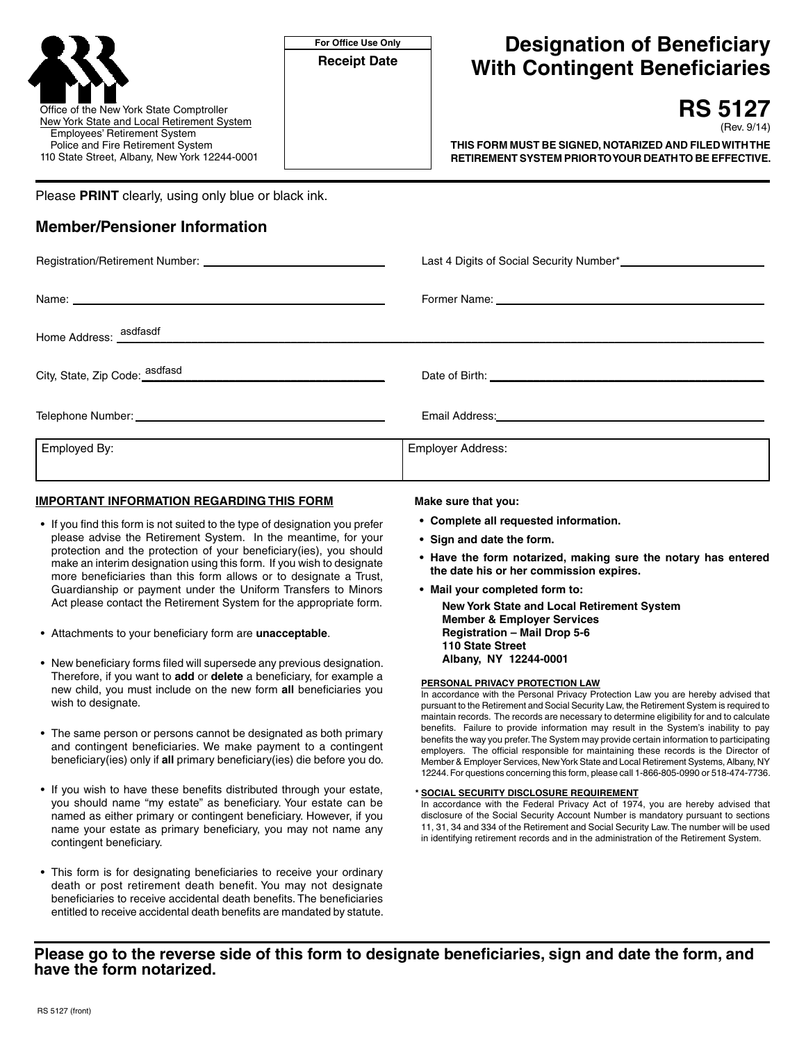

Please **PRINT** clearly, using only blue or black ink.

# **Member/Pensioner Information**

| Last 4 Digits of Social Security Number*<br>1990 - Paris Last 4 Digits of Social Security Number*<br>1990 - Production Security Number*<br>1990 - Production Security Number*<br>1990 - Production Security Number*<br>1990 - Production |
|------------------------------------------------------------------------------------------------------------------------------------------------------------------------------------------------------------------------------------------|
|                                                                                                                                                                                                                                          |
|                                                                                                                                                                                                                                          |
|                                                                                                                                                                                                                                          |
| Email Address: Management of the Address Management of the Address Management of the Address Management of the                                                                                                                           |
| Employer Address:                                                                                                                                                                                                                        |
|                                                                                                                                                                                                                                          |

## **IMPORTANT INFORMATION REGARDING THIS FORM**

- If you find this form is not suited to the type of designation you prefer please advise the Retirement System. In the meantime, for your protection and the protection of your beneficiary(ies), you should make an interim designation using this form. If you wish to designate more beneficiaries than this form allows or to designate a Trust, Guardianship or payment under the Uniform Transfers to Minors Act please contact the Retirement System for the appropriate form.
- Attachments to your beneficiary form are **unacceptable**.
- New beneficiary forms filed will supersede any previous designation. Therefore, if you want to **add** or **delete** a beneficiary, for example a new child, you must include on the new form **all** beneficiaries you wish to designate.
- The same person or persons cannot be designated as both primary and contingent beneficiaries. We make payment to a contingent beneficiary(ies) only if **all** primary beneficiary(ies) die before you do.
- If you wish to have these benefits distributed through your estate, you should name "my estate" as beneficiary. Your estate can be named as either primary or contingent beneficiary. However, if you name your estate as primary beneficiary, you may not name any contingent beneficiary.
- This form is for designating beneficiaries to receive your ordinary death or post retirement death benefit. You may not designate beneficiaries to receive accidental death benefits. The beneficiaries entitled to receive accidental death benefits are mandated by statute.

#### **Make sure that you:**

- **• Complete all requested information.**
- **• Sign and date the form.**
- **• Have the form notarized, making sure the notary has entered the date his or her commission expires.**
- **• Mail your completed form to:**

**New York State and Local Retirement System Member & Employer Services Registration – Mail Drop 5-6 110 State Street Albany, NY 12244-0001**

#### **PERSONAL PRIVACY PROTECTION LAW**

In accordance with the Personal Privacy Protection Law you are hereby advised that pursuant to the Retirement and Social Security Law, the Retirement System is required to maintain records. The records are necessary to determine eligibility for and to calculate benefits. Failure to provide information may result in the System's inability to pay benefits the way you prefer.The System may provide certain information to participating employers. The official responsible for maintaining these records is the Director of Member & Employer Services, New York State and Local Retirement Systems, Albany, NY 12244. For questions concerning this form, please call 1-866-805-0990 or 518-474-7736.

#### **\* SOCIAL SECURITY DISCLOSURE REQUIREMENT**

In accordance with the Federal Privacy Act of 1974, you are hereby advised that disclosure of the Social Security Account Number is mandatory pursuant to sections 11, 31, 34 and 334 of the Retirement and Social Security Law.The number will be used in identifying retirement records and in the administration of the Retirement System.

## **Please go to the reverse side of this form to designate beneficiaries, sign and date the form, and have the form notarized.**